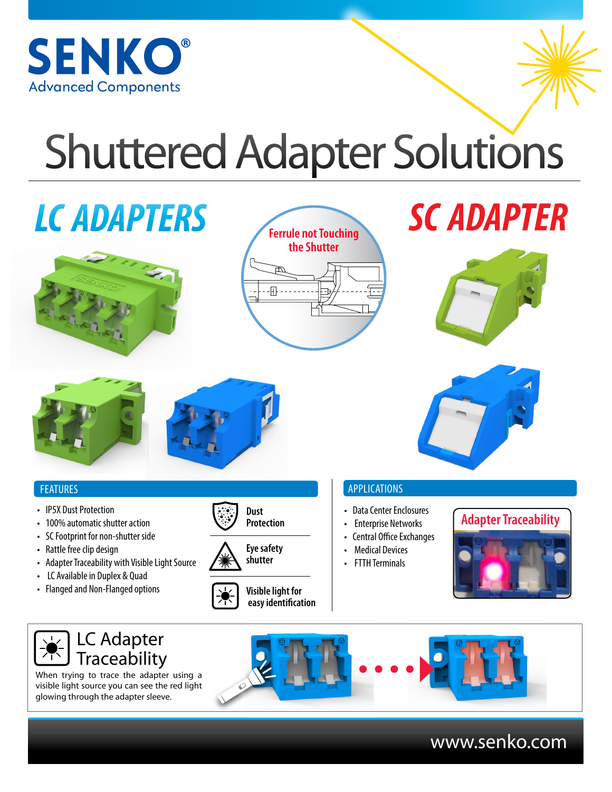

# Shuttered Adapter Solutions

# *LC ADAPTERS*





# *SC ADAPTER*





### FEATURES

- IP5X Dust Protection
- 100% automatic shutter action
- SC Footprint for non-shutter side
- Rattle free clip design
- Adapter Traceability with Visible Light Source
- LC Available in Duplex & Quad
- Flanged and Non-Flanged options



**Dust** 

**Visible light for easy identification**

### APPLICATIONS

- 
- Enterprise Networks
- Central Office Exchanges
- **Medical Devices**
- FTTH Terminals







# www.senko.com